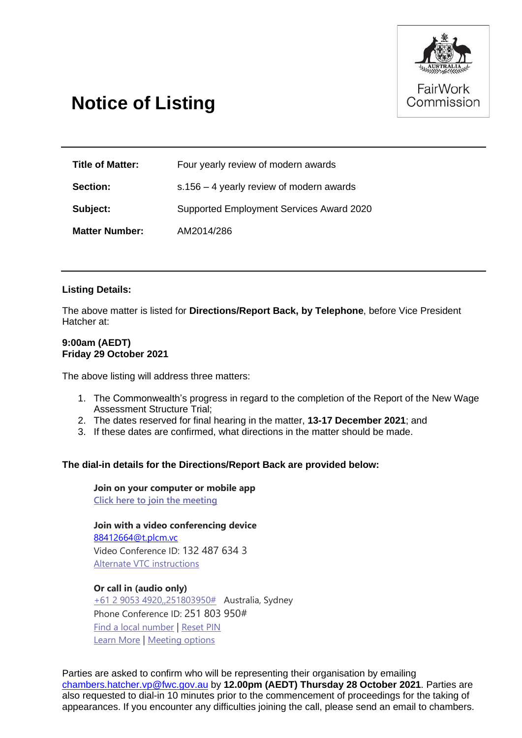

# **Notice of Listing**

| <b>Title of Matter:</b> | Four yearly review of modern awards        |
|-------------------------|--------------------------------------------|
| <b>Section:</b>         | $s.156 - 4$ yearly review of modern awards |
| Subject:                | Supported Employment Services Award 2020   |
| <b>Matter Number:</b>   | AM2014/286                                 |

### **Listing Details:**

The above matter is listed for **Directions/Report Back, by Telephone**, before Vice President Hatcher at:

#### **9:00am (AEDT) Friday 29 October 2021**

The above listing will address three matters:

- 1. The Commonwealth's progress in regard to the completion of the Report of the New Wage Assessment Structure Trial;
- 2. The dates reserved for final hearing in the matter, **13-17 December 2021**; and
- 3. If these dates are confirmed, what directions in the matter should be made.

### **The dial-in details for the Directions/Report Back are provided below:**

**Join on your computer or mobile app [Click here to join the meeting](https://teams.microsoft.com/l/meetup-join/19%3ameeting_NmIwMTA0MGYtNTQ0OC00MTBhLTgxOWItOGUwOWYwNDZmNGE1%40thread.v2/0?context=%7b%22Tid%22%3a%227f039f5b-4e12-4790-af98-c9f21a9f2603%22%2c%22Oid%22%3a%2242122de3-6317-4f32-8075-cc832b76705b%22%7d)**

**Join with a video conferencing device** [88412664@t.plcm.vc](mailto:88412664@t.plcm.vc) Video Conference ID: 132 487 634 3

[Alternate VTC instructions](https://dialin.plcm.vc/teams/?key=88412664&conf=1324876343)

#### **Or call in (audio only)**

[+61 2 9053 4920,,251803950#](tel:+61290534920,,251803950# ) Australia, Sydney Phone Conference ID: 251 803 950# [Find a local number](https://dialin.teams.microsoft.com/f5bf92ba-3730-46f5-815b-f52315ca8c16?id=251803950) | [Reset PIN](https://mysettings.lync.com/pstnconferencing) [Learn More](https://aka.ms/JoinTeamsMeeting) | [Meeting options](https://teams.microsoft.com/meetingOptions/?organizerId=42122de3-6317-4f32-8075-cc832b76705b&tenantId=7f039f5b-4e12-4790-af98-c9f21a9f2603&threadId=19_meeting_NmIwMTA0MGYtNTQ0OC00MTBhLTgxOWItOGUwOWYwNDZmNGE1@thread.v2&messageId=0&language=en-US)

Parties are asked to confirm who will be representing their organisation by emailing [chambers.hatcher.vp@fwc.gov.au](mailto:chambers.hatcher.vp@fwc.gov.au) by **12.00pm (AEDT) Thursday 28 October 2021**. Parties are also requested to dial-in 10 minutes prior to the commencement of proceedings for the taking of appearances. If you encounter any difficulties joining the call, please send an email to chambers.